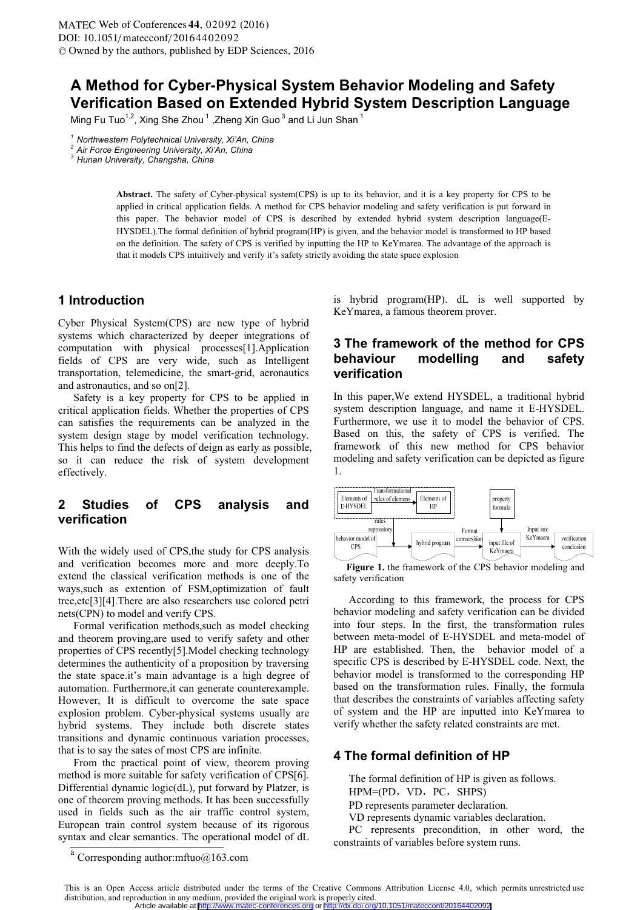# **A Method for Cyber-Physical System Behavior Modeling and Safety Verification Based on Extended Hybrid System Description Language**

Ming Fu Tuo<sup>1,2</sup>, Xing She Zhou<sup>1</sup>, Zheng Xin Guo<sup>3</sup> and Li Jun Shan<sup>1</sup>

Abstract. The safety of Cyber-physical system(CPS) is up to its behavior, and it is a key property for CPS to be applied in critical application fields. A method for CPS behavior modeling and safety verification is put forward in this paper. The behavior model of CPS is described by extended hybrid system description language(E-HYSDEL).The formal definition of hybrid program(HP) is given, and the behavior model is transformed to HP based on the definition. The safety of CPS is verified by inputting the HP to KeYmarea. The advantage of the approach is that it models CPS intuitively and verify it's safety strictly avoiding the state space explosion

#### **1 Introduction**

Cyber Physical System(CPS) are new type of hybrid systems which characterized by deeper integrations of computation with physical processes[1].Application fields of CPS are very wide, such as Intelligent transportation, telemedicine, the smart-grid, aeronautics and astronautics, and so on[2].

Safety is a key property for CPS to be applied in critical application fields. Whether the properties of CPS can satisfies the requirements can be analyzed in the system design stage by model verification technology. This helps to find the defects of deign as early as possible, so it can reduce the risk of system development effectively.

## **2 Studies of CPS analysis and verification**

With the widely used of CPS,the study for CPS analysis and verification becomes more and more deeply.To extend the classical verification methods is one of the ways,such as extention of FSM,optimization of fault tree,etc[3][4].There are also researchers use colored petri nets(CPN) to model and verify CPS.

Formal verification methods,such as model checking and theorem proving,are used to verify safety and other properties of CPS recently[5].Model checking technology determines the authenticity of a proposition by traversing the state space.it's main advantage is a high degree of automation. Furthermore,it can generate counterexample. However, It is difficult to overcome the sate space explosion problem. Cyber-physical systems usually are hybrid systems. They include both discrete states transitions and dynamic continuous variation processes, that is to say the sates of most CPS are infinite.

From the practical point of view, theorem proving method is more suitable for safety verification of CPS[6]. Differential dynamic logic(dL), put forward by Platzer, is one of theorem proving methods. It has been successfully used in fields such as the air traffic control system, European train control system because of its rigorous syntax and clear semantics. The operational model of dL

is hybrid program(HP). dL is well supported by KeYmarea, a famous theorem prover.

### **3 The framework of the method for CPS behaviour modelling and safety verification**

In this paper,We extend HYSDEL, a traditional hybrid system description language, and name it E-HYSDEL. Furthermore, we use it to model the behavior of CPS. Based on this, the safety of CPS is verified. The framework of this new method for CPS behavior modeling and safety verification can be depicted as figure 1.



**Figure 1.** the framework of the CPS behavior modeling and safety verification

According to this framework, the process for CPS behavior modeling and safety verification can be divided into four steps. In the first, the transformation rules between meta-model of E-HYSDEL and meta-model of HP are established. Then, the behavior model of a specific CPS is described by E-HYSDEL code. Next, the behavior model is transformed to the corresponding HP based on the transformation rules. Finally, the formula that describes the constraints of variables affecting safety of system and the HP are inputted into KeYmarea to verify whether the safety related constraints are met.

### **4 The formal definition of HP**

The formal definition of HP is given as follows.

- $HPM=(PD, VD, PC, SHPS)$ PD represents parameter declaration.
- VD represents dynamic variables declaration.

PC represents precondition, in other word, the constraints of variables before system runs.

*<sup>1</sup> Northwestern Polytechnical University, Xi'An, China 2 Air Force Engineering University, Xi'An, China 3 Hunan University, Changsha, China* 

<sup>&</sup>lt;sup>a</sup> Corresponding author:mftuo@163.com

This is an Open Access article distributed under the terms of the Creative Commons Attribution License 4.0, which permits unrestricted use distribution, and reproduction in any medium, provided the original work is properly cited.<br>Article available at http://www.matec-conferences.org or http://dx.doi.org /dx.doi.org/10.1051/matecconf/20164402092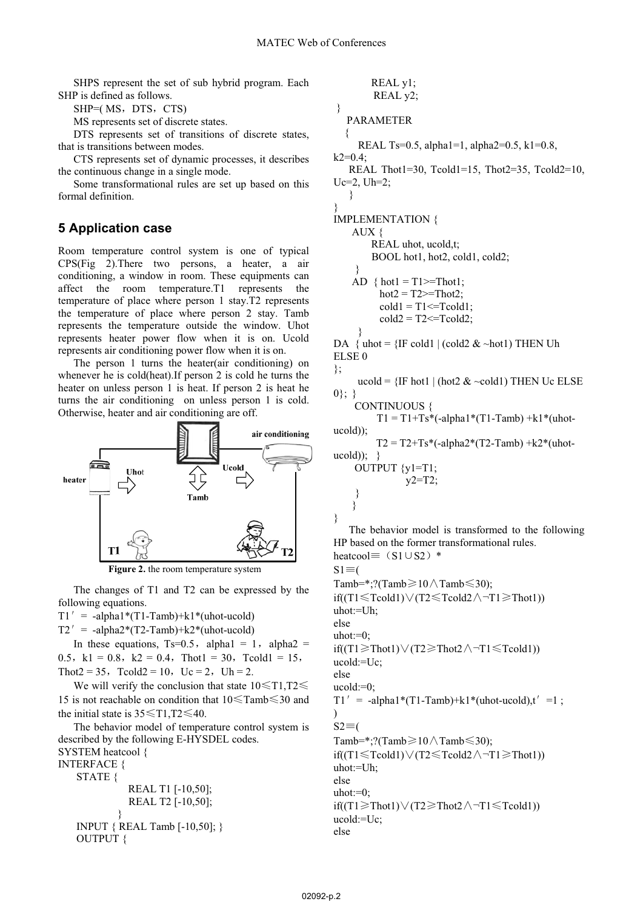}

}

SHPS represent the set of sub hybrid program. Each SHP is defined as follows.

 $SHP = (MS, DTS, CTS)$ 

MS represents set of discrete states.

DTS represents set of transitions of discrete states, that is transitions between modes.

CTS represents set of dynamic processes, it describes the continuous change in a single mode.

Some transformational rules are set up based on this formal definition.

### **5 Application case**

Room temperature control system is one of typical CPS(Fig 2).There two persons, a heater, a air conditioning, a window in room. These equipments can affect the room temperature.T1 represents the temperature of place where person 1 stay.T2 represents the temperature of place where person 2 stay. Tamb represents the temperature outside the window. Uhot represents heater power flow when it is on. Ucold represents air conditioning power flow when it is on.

The person 1 turns the heater(air conditioning) on whenever he is cold(heat).If person 2 is cold he turns the heater on unless person 1 is heat. If person 2 is heat he turns the air conditioning on unless person 1 is cold. Otherwise, heater and air conditioning are off.



**Figure 2.** the room temperature system

The changes of T1 and T2 can be expressed by the following equations.

 $T1' = -alpha1phal*(T1-Tamb)+kl*(uhot-ucold)$ 

 $T2' = -\alpha Iph\alpha^{2*}(T2-Tamb)+k2*(ubot-ucold)$ 

In these equations,  $Ts=0.5$ , alpha $1 = 1$ , alpha $2 =$ 0.5. k1 = 0.8. k2 = 0.4. Thot1 = 30. Tcold1 = 15. Thot2 = 35, Tcold2 = 10, Uc = 2, Uh = 2.

We will verify the conclusion that state  $10\leq T1$ ,  $T2\leq$ 15 is not reachable on condition that  $10 \leq$ Tamb $\leq$ 30 and the initial state is  $35 \leq T1$ ,  $T2 \leq 40$ .

The behavior model of temperature control system is described by the following E-HYSDEL codes. SYSTEM heatcool {

INTERFACE {

 STATE { REAL T1 [-10,50]; REAL T2 [-10,50]; } INPUT { REAL Tamb [-10,50]; } OUTPUT {

```
REAL y1; 
          REAL y2; 
 } 
    PARAMETER 
  { 
      REAL Ts=0.5, alpha1=1, alpha2=0.5, k1=0.8,
k2=0.4;
    REAL Thot1=30, Tcold1=15, Thot2=35, Tcold2=10,
Uc=2, Uh=2; 
    } 
IMPLEMENTATION { 
     AUX { 
         REAL uhot, ucold,t; 
          BOOL hot1, hot2, cold1, cold2; 
     } 
    AD { hot1 = T1 >=Thot1;
           hot2 = T2 \geq Thot2;
           \text{cold1} = \text{T1} \leq \text{Tcold1}:
           cold2 = T2 \leq Tcold2;
      } 
DA { uhot = \{IF \text{ cold1 } | \text{ (cold2 > hot1)} \text{ THEN Uh}ELSE 0 
}; 
      ucold = \{IF \text{ hot1 } | \text{ (hot2 & -cold1)} \text{ THEN } Uc \text{ ELSE} \}0\}; }
      CONTINUOUS { 
          T1 = T1+Ts*(-alpha1*(T1-Tamb)+k1*(ubot-ucold)); 
          T2 = T2+Ts*(-alpha2*(T2-Tamb) +k2*(ubot-ucold); } OUTPUT {y1=T1; 
                 v2=T2;
     } 
     } 
    The behavior model is transformed to the following 
HP based on the former transformational rules. 
heatcool\equiv (S1\cupS2) *
S1 \equiv (
```
Tamb=\*;?(Tamb $\geq$ 10 $\land$ Tamb $\leq$ 30);  $if((T1 \le Tcold1) \lor (T2 \le Tcold2 \land \neg T1 \ge Thot1))$  $uhot:=Uh$ : else uhot:=0;  $if((T1 \geq Thot1) \vee (T2 \geq Thot2 \wedge \neg T1 \leq Tcold1))$ ucold:=Uc; else ucold:=0;  $T1'$  = -alpha1\*(T1-Tamb)+k1\*(uhot-ucold),t' =1; )  $S2\equiv($ Tamb=\*;?(Tamb $\geq$ 10 $\land$ Tamb $\leq$ 30); if((T1 $\le$ Tcold1) $\vee$ (T2 $\le$ Tcold2 $\wedge$ ¬T1 $\ge$ Thot1)) uhot:=Uh; else uhot: $=0$ ; if((T1 $\ge$ Thot1) $\lor$ (T2 $\ge$ Thot2 $\land$  $\neg$ T1 $\le$ Tcold1)) ucold:=Uc; else